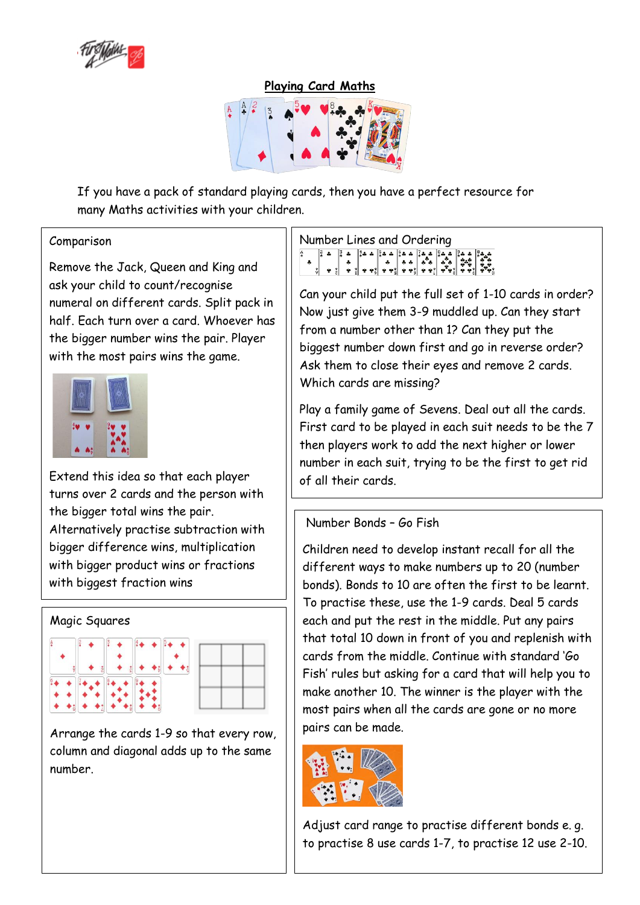

**Playing Card Maths**



If you have a pack of standard playing cards, then you have a perfect resource for many Maths activities with your children.

## Comparison

Remove the Jack, Queen and King and ask your child to count/recognise numeral on different cards. Split pack in half. Each turn over a card. Whoever has the bigger number wins the pair. Player with the most pairs wins the game.



Extend this idea so that each player turns over 2 cards and the person with the bigger total wins the pair. Alternatively practise subtraction with bigger difference wins, multiplication with bigger product wins or fractions with biggest fraction wins



Arrange the cards 1-9 so that every row, column and diagonal adds up to the same number.

Number Lines and Ordering

Can your child put the full set of 1-10 cards in order? Now just give them 3-9 muddled up. Can they start from a number other than 1? Can they put the biggest number down first and go in reverse order? Ask them to close their eyes and remove 2 cards. Which cards are missing?

Play a family game of Sevens. Deal out all the cards. First card to be played in each suit needs to be the 7 then players work to add the next higher or lower number in each suit, trying to be the first to get rid of all their cards.

# Number Bonds – Go Fish

Children need to develop instant recall for all the different ways to make numbers up to 20 (number bonds). Bonds to 10 are often the first to be learnt. To practise these, use the 1-9 cards. Deal 5 cards each and put the rest in the middle. Put any pairs that total 10 down in front of you and replenish with cards from the middle. Continue with standard 'Go Fish' rules but asking for a card that will help you to make another 10. The winner is the player with the most pairs when all the cards are gone or no more pairs can be made.



Adjust card range to practise different bonds e. g. to practise 8 use cards 1-7, to practise 12 use 2-10.